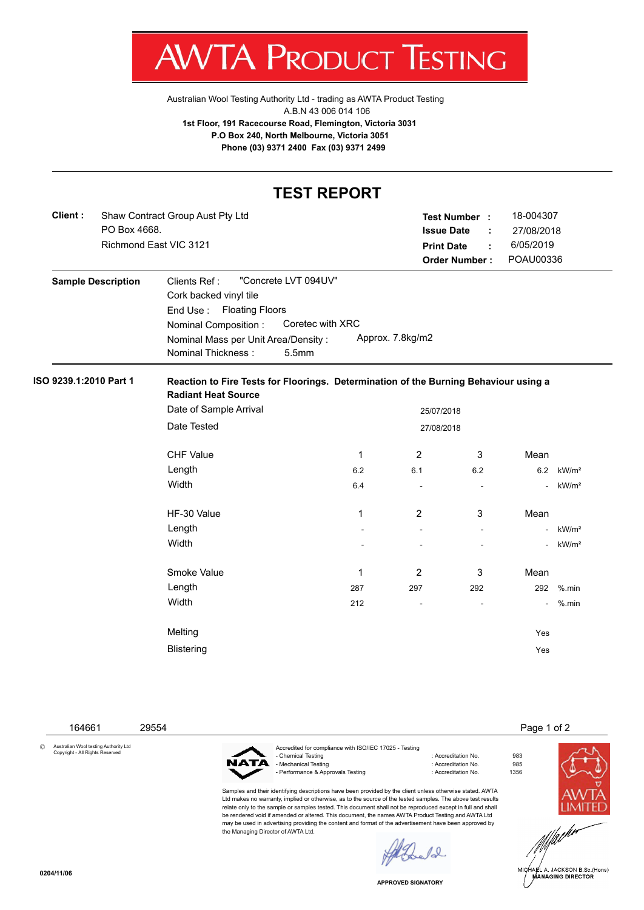

Australian Wool Testing Authority Ltd - trading as AWTA Product Testing A.B.N 43 006 014 106 **1st Floor, 191 Racecourse Road, Flemington, Victoria 3031 P.O Box 240, North Melbourne, Victoria 3051 Phone (03) 9371 2400 Fax (03) 9371 2499**

## **TEST REPORT**

| Client:                | PO Box 4668.              | Shaw Contract Group Aust Pty Ltd<br>Richmond East VIC 3121                                                                                                                               |                  | <b>Print Date</b> | Test Number :<br><b>Issue Date</b><br>÷<br>t<br><b>Order Number:</b> | 18-004307<br>27/08/2018<br>6/05/2019<br>POAU00336 |                   |  |  |  |  |
|------------------------|---------------------------|------------------------------------------------------------------------------------------------------------------------------------------------------------------------------------------|------------------|-------------------|----------------------------------------------------------------------|---------------------------------------------------|-------------------|--|--|--|--|
|                        | <b>Sample Description</b> | "Concrete LVT 094UV"<br>Clients Ref:<br>Cork backed vinyl tile<br>End Use: Floating Floors<br>Nominal Composition:<br>Nominal Mass per Unit Area/Density:<br>5.5mm<br>Nominal Thickness: | Coretec with XRC | Approx. 7.8kg/m2  |                                                                      |                                                   |                   |  |  |  |  |
| ISO 9239.1:2010 Part 1 |                           | Reaction to Fire Tests for Floorings. Determination of the Burning Behaviour using a<br><b>Radiant Heat Source</b>                                                                       |                  |                   |                                                                      |                                                   |                   |  |  |  |  |
|                        |                           | Date of Sample Arrival<br>25/07/2018                                                                                                                                                     |                  |                   |                                                                      |                                                   |                   |  |  |  |  |
|                        |                           | Date Tested<br>27/08/2018                                                                                                                                                                |                  |                   |                                                                      |                                                   |                   |  |  |  |  |
|                        |                           | <b>CHF Value</b>                                                                                                                                                                         | 1                | 2                 | 3                                                                    | Mean                                              |                   |  |  |  |  |
|                        |                           | Length                                                                                                                                                                                   | 6.2              | 6.1               | 6.2                                                                  | 6.2                                               | kW/m <sup>2</sup> |  |  |  |  |
|                        |                           | Width                                                                                                                                                                                    | 6.4              |                   |                                                                      | $\blacksquare$                                    | kW/m <sup>2</sup> |  |  |  |  |
|                        |                           | HF-30 Value                                                                                                                                                                              | 1                | $\overline{2}$    | 3                                                                    | Mean                                              |                   |  |  |  |  |
|                        |                           | Length                                                                                                                                                                                   |                  | $\sim$            | $\sim$                                                               |                                                   | kW/m <sup>2</sup> |  |  |  |  |
|                        |                           | Width                                                                                                                                                                                    |                  |                   |                                                                      |                                                   | kW/m <sup>2</sup> |  |  |  |  |
|                        |                           | Smoke Value                                                                                                                                                                              | 1                | 2                 | 3                                                                    | Mean                                              |                   |  |  |  |  |
|                        |                           | Length                                                                                                                                                                                   | 287              | 297               | 292                                                                  | 292                                               | $%$ .min          |  |  |  |  |
|                        |                           | Width                                                                                                                                                                                    | 212              | ä,                |                                                                      | $\sim$                                            | $%$ .min          |  |  |  |  |
|                        |                           |                                                                                                                                                                                          |                  |                   |                                                                      |                                                   |                   |  |  |  |  |
|                        |                           | Melting                                                                                                                                                                                  |                  |                   |                                                                      | Yes                                               |                   |  |  |  |  |

164661 29554 Page 1 of 2

© Australian Wool testing Authority Ltd Copyright - All Rights Reserved



Accredited for compliance with ISO/IEC 17025 - Testing - Chemical Testing : Accreditation No. 983 Mechanical Testing - Performance & Approvals Testing in the state of the contract of Accreditation No. 6 1356

Samples and their identifying descriptions have been provided by the client unless otherwise stated. AWTA Ltd makes no warranty, implied or otherwise, as to the source of the tested samples. The above test results relate only to the sample or samples tested. This document shall not be reproduced except in full and shall be rendered void if amended or altered. This document, the names AWTA Product Testing and AWTA Ltd may be used in advertising providing the content and format of the advertisement have been approved by the Managing Director of AWTA Ltd.



 $\ell$ 

**APPROVED SIGNATORY**